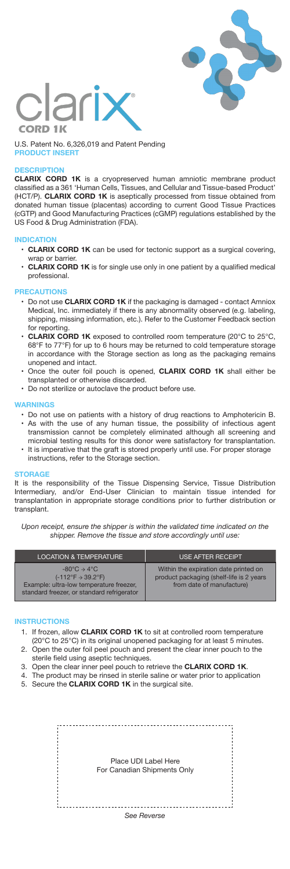



U.S. Patent No. 6,326,019 and Patent Pending **PRODUCT INSERT**

# **DESCRIPTION**

**CLARIX CORD 1K** is a cryopreserved human amniotic membrane product classified as a 361 'Human Cells, Tissues, and Cellular and Tissue-based Product' (HCT/P). **CLARIX CORD 1K** is aseptically processed from tissue obtained from donated human tissue (placentas) according to current Good Tissue Practices (cGTP) and Good Manufacturing Practices (cGMP) regulations established by the US Food & Drug Administration (FDA).

# **INDICATION**

- **CLARIX CORD 1K** can be used for tectonic support as a surgical covering, wrap or barrier.
- **CLARIX CORD 1K** is for single use only in one patient by a qualified medical professional.

### **PRECAUTIONS**

- Do not use **CLARIX CORD 1K** if the packaging is damaged contact Amniox Medical, Inc. immediately if there is any abnormality observed (e.g. labeling, shipping, missing information, etc.). Refer to the Customer Feedback section for reporting.
- **CLARIX CORD 1K** exposed to controlled room temperature (20°C to 25°C, 68°F to 77°F) for up to 6 hours may be returned to cold temperature storage in accordance with the Storage section as long as the packaging remains unopened and intact.
- Once the outer foil pouch is opened, **CLARIX CORD 1K** shall either be transplanted or otherwise discarded.
- Do not sterilize or autoclave the product before use.

# **WARNINGS**

- Do not use on patients with a history of drug reactions to Amphotericin B. • As with the use of any human tissue, the possibility of infectious agent transmission cannot be completely eliminated although all screening and microbial testing results for this donor were satisfactory for transplantation.
- It is imperative that the graft is stored properly until use. For proper storage instructions, refer to the Storage section.

### **STORAGE**

It is the responsibility of the Tissue Dispensing Service, Tissue Distribution Intermediary, and/or End-User Clinician to maintain tissue intended for transplantation in appropriate storage conditions prior to further distribution or transplant.

*Upon receipt, ensure the shipper is within the validated time indicated on the shipper. Remove the tissue and store accordingly until use:*

| <b>LOCATION &amp; TEMPERATURE</b>                                                                                                                                                    | <b>USE AFTER RECEIPT</b>                                                                                        |
|--------------------------------------------------------------------------------------------------------------------------------------------------------------------------------------|-----------------------------------------------------------------------------------------------------------------|
| $-80^{\circ}$ C $\rightarrow$ 4 $^{\circ}$ C<br>$(-112^{\circ}F \rightarrow 39.2^{\circ}F)$<br>Example: ultra-low temperature freezer,<br>standard freezer, or standard refrigerator | Within the expiration date printed on<br>product packaging (shelf-life is 2 years)<br>from date of manufacture) |

### **INSTRUCTIONS**

- 1. If frozen, allow **CLARIX CORD 1K** to sit at controlled room temperature
- 2. Open the outer foil peel pouch and present the clear inner pouch to the (20°C to 25°C) in its original unopened packaging for at least 5 minutes. sterile field using aseptic techniques.
- 3. Open the clear inner peel pouch to retrieve the **CLARIX CORD 1K**.
- 4. The product may be rinsed in sterile saline or water prior to application
- 5. Secure the **CLARIX CORD 1K** in the surgical site.

Place UDI Label Here For Canadian Shipments Only*See Reverse*